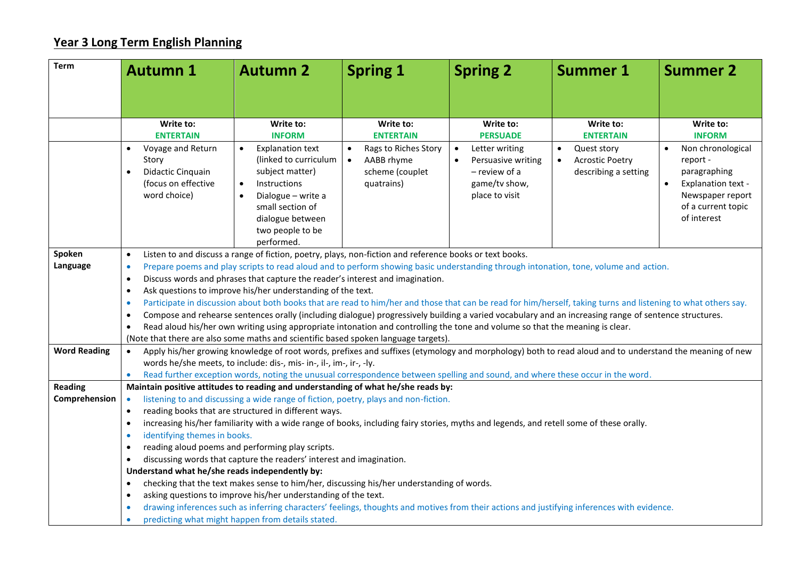## **Year 3 Long Term English Planning**

| <b>Term</b>         | <b>Autumn 1</b>                                                                                                                                                                                               | <b>Autumn 2</b>                                                                                                                                                                                                      | <b>Spring 1</b>                                                                                                                                         | <b>Spring 2</b>                                                                                                                       | <b>Summer 1</b>                                                                                                          | <b>Summer 2</b>                                                                                                                                          |  |  |
|---------------------|---------------------------------------------------------------------------------------------------------------------------------------------------------------------------------------------------------------|----------------------------------------------------------------------------------------------------------------------------------------------------------------------------------------------------------------------|---------------------------------------------------------------------------------------------------------------------------------------------------------|---------------------------------------------------------------------------------------------------------------------------------------|--------------------------------------------------------------------------------------------------------------------------|----------------------------------------------------------------------------------------------------------------------------------------------------------|--|--|
|                     |                                                                                                                                                                                                               |                                                                                                                                                                                                                      |                                                                                                                                                         |                                                                                                                                       |                                                                                                                          |                                                                                                                                                          |  |  |
|                     |                                                                                                                                                                                                               |                                                                                                                                                                                                                      |                                                                                                                                                         |                                                                                                                                       |                                                                                                                          |                                                                                                                                                          |  |  |
|                     | Write to:<br><b>ENTERTAIN</b><br>Voyage and Return<br>$\bullet$<br>Story<br>Didactic Cinquain<br>$\bullet$<br>(focus on effective<br>word choice)                                                             | Write to:<br><b>INFORM</b><br><b>Explanation text</b><br>$\bullet$<br>(linked to curriculum<br>subject matter)<br>Instructions<br>$\bullet$<br>Dialogue - write a<br>$\bullet$<br>small section of                   | Write to:<br><b>ENTERTAIN</b><br>Rags to Riches Story<br>$\bullet$<br>AABB rhyme<br>$\bullet$<br>scheme (couplet<br>quatrains)                          | Write to:<br><b>PERSUADE</b><br>Letter writing<br>$\bullet$<br>Persuasive writing<br>- review of a<br>game/tv show,<br>place to visit | Write to:<br><b>ENTERTAIN</b><br>Quest story<br>$\bullet$<br><b>Acrostic Poetry</b><br>$\bullet$<br>describing a setting | Write to:<br><b>INFORM</b><br>Non chronological<br>report -<br>paragraphing<br>Explanation text -<br>$\bullet$<br>Newspaper report<br>of a current topic |  |  |
|                     |                                                                                                                                                                                                               | dialogue between<br>two people to be<br>performed.                                                                                                                                                                   |                                                                                                                                                         |                                                                                                                                       |                                                                                                                          | of interest                                                                                                                                              |  |  |
| Spoken              | Listen to and discuss a range of fiction, poetry, plays, non-fiction and reference books or text books.<br>$\bullet$                                                                                          |                                                                                                                                                                                                                      |                                                                                                                                                         |                                                                                                                                       |                                                                                                                          |                                                                                                                                                          |  |  |
| Language            | $\bullet$                                                                                                                                                                                                     | Prepare poems and play scripts to read aloud and to perform showing basic understanding through intonation, tone, volume and action.                                                                                 |                                                                                                                                                         |                                                                                                                                       |                                                                                                                          |                                                                                                                                                          |  |  |
|                     |                                                                                                                                                                                                               | Discuss words and phrases that capture the reader's interest and imagination.<br>$\bullet$                                                                                                                           |                                                                                                                                                         |                                                                                                                                       |                                                                                                                          |                                                                                                                                                          |  |  |
|                     | Ask questions to improve his/her understanding of the text.<br>$\bullet$                                                                                                                                      |                                                                                                                                                                                                                      |                                                                                                                                                         |                                                                                                                                       |                                                                                                                          |                                                                                                                                                          |  |  |
|                     | Participate in discussion about both books that are read to him/her and those that can be read for him/herself, taking turns and listening to what others say.<br>$\bullet$                                   |                                                                                                                                                                                                                      |                                                                                                                                                         |                                                                                                                                       |                                                                                                                          |                                                                                                                                                          |  |  |
|                     | $\bullet$<br>$\bullet$                                                                                                                                                                                        | Compose and rehearse sentences orally (including dialogue) progressively building a varied vocabulary and an increasing range of sentence structures.                                                                |                                                                                                                                                         |                                                                                                                                       |                                                                                                                          |                                                                                                                                                          |  |  |
|                     |                                                                                                                                                                                                               | Read aloud his/her own writing using appropriate intonation and controlling the tone and volume so that the meaning is clear.<br>(Note that there are also some maths and scientific based spoken language targets). |                                                                                                                                                         |                                                                                                                                       |                                                                                                                          |                                                                                                                                                          |  |  |
| <b>Word Reading</b> | $\bullet$                                                                                                                                                                                                     |                                                                                                                                                                                                                      | Apply his/her growing knowledge of root words, prefixes and suffixes (etymology and morphology) both to read aloud and to understand the meaning of new |                                                                                                                                       |                                                                                                                          |                                                                                                                                                          |  |  |
|                     |                                                                                                                                                                                                               | words he/she meets, to include: dis-, mis- in-, il-, im-, ir-, -ly.                                                                                                                                                  |                                                                                                                                                         |                                                                                                                                       |                                                                                                                          |                                                                                                                                                          |  |  |
|                     | $\bullet$                                                                                                                                                                                                     |                                                                                                                                                                                                                      | Read further exception words, noting the unusual correspondence between spelling and sound, and where these occur in the word.                          |                                                                                                                                       |                                                                                                                          |                                                                                                                                                          |  |  |
| <b>Reading</b>      | Maintain positive attitudes to reading and understanding of what he/she reads by:                                                                                                                             |                                                                                                                                                                                                                      |                                                                                                                                                         |                                                                                                                                       |                                                                                                                          |                                                                                                                                                          |  |  |
| Comprehension       | $\bullet$                                                                                                                                                                                                     |                                                                                                                                                                                                                      | listening to and discussing a wide range of fiction, poetry, plays and non-fiction.                                                                     |                                                                                                                                       |                                                                                                                          |                                                                                                                                                          |  |  |
|                     | $\bullet$                                                                                                                                                                                                     | reading books that are structured in different ways.                                                                                                                                                                 |                                                                                                                                                         |                                                                                                                                       |                                                                                                                          |                                                                                                                                                          |  |  |
|                     | $\bullet$                                                                                                                                                                                                     | increasing his/her familiarity with a wide range of books, including fairy stories, myths and legends, and retell some of these orally.                                                                              |                                                                                                                                                         |                                                                                                                                       |                                                                                                                          |                                                                                                                                                          |  |  |
|                     | identifying themes in books.<br>$\bullet$                                                                                                                                                                     |                                                                                                                                                                                                                      |                                                                                                                                                         |                                                                                                                                       |                                                                                                                          |                                                                                                                                                          |  |  |
|                     | $\bullet$                                                                                                                                                                                                     | reading aloud poems and performing play scripts.                                                                                                                                                                     |                                                                                                                                                         |                                                                                                                                       |                                                                                                                          |                                                                                                                                                          |  |  |
|                     | $\bullet$                                                                                                                                                                                                     | discussing words that capture the readers' interest and imagination.                                                                                                                                                 |                                                                                                                                                         |                                                                                                                                       |                                                                                                                          |                                                                                                                                                          |  |  |
|                     |                                                                                                                                                                                                               | Understand what he/she reads independently by:                                                                                                                                                                       |                                                                                                                                                         |                                                                                                                                       |                                                                                                                          |                                                                                                                                                          |  |  |
|                     | $\bullet$                                                                                                                                                                                                     | checking that the text makes sense to him/her, discussing his/her understanding of words.                                                                                                                            |                                                                                                                                                         |                                                                                                                                       |                                                                                                                          |                                                                                                                                                          |  |  |
|                     | asking questions to improve his/her understanding of the text.<br>$\bullet$                                                                                                                                   |                                                                                                                                                                                                                      |                                                                                                                                                         |                                                                                                                                       |                                                                                                                          |                                                                                                                                                          |  |  |
|                     | drawing inferences such as inferring characters' feelings, thoughts and motives from their actions and justifying inferences with evidence.<br>$\bullet$<br>predicting what might happen from details stated. |                                                                                                                                                                                                                      |                                                                                                                                                         |                                                                                                                                       |                                                                                                                          |                                                                                                                                                          |  |  |
|                     | $\bullet$                                                                                                                                                                                                     |                                                                                                                                                                                                                      |                                                                                                                                                         |                                                                                                                                       |                                                                                                                          |                                                                                                                                                          |  |  |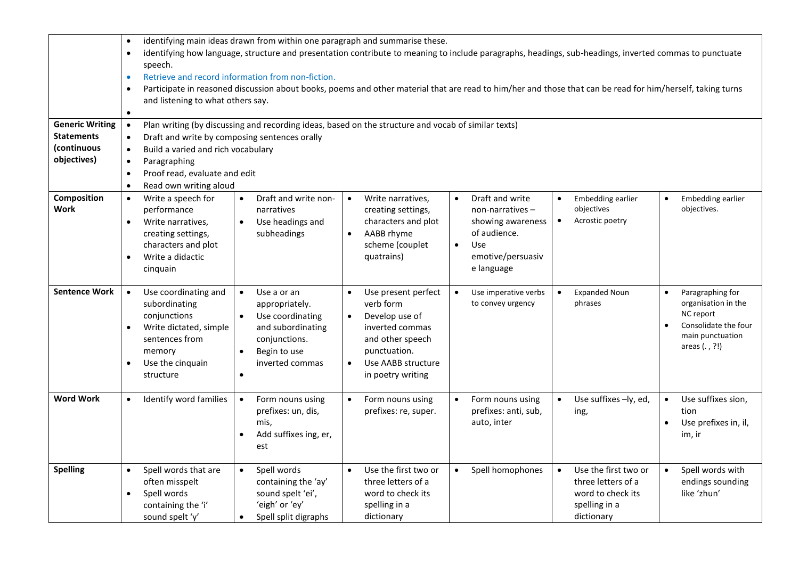|                                                                           | identifying main ideas drawn from within one paragraph and summarise these.<br>$\bullet$<br>identifying how language, structure and presentation contribute to meaning to include paragraphs, headings, sub-headings, inverted commas to punctuate<br>$\bullet$<br>speech.<br>Retrieve and record information from non-fiction.<br>$\bullet$<br>Participate in reasoned discussion about books, poems and other material that are read to him/her and those that can be read for him/herself, taking turns<br>$\bullet$ |                                                                                                                                                                                                                                                                  |                                                                                                                                                                                             |                                                                                                                                          |                                                                                                             |                                                                                                                                                |  |
|---------------------------------------------------------------------------|-------------------------------------------------------------------------------------------------------------------------------------------------------------------------------------------------------------------------------------------------------------------------------------------------------------------------------------------------------------------------------------------------------------------------------------------------------------------------------------------------------------------------|------------------------------------------------------------------------------------------------------------------------------------------------------------------------------------------------------------------------------------------------------------------|---------------------------------------------------------------------------------------------------------------------------------------------------------------------------------------------|------------------------------------------------------------------------------------------------------------------------------------------|-------------------------------------------------------------------------------------------------------------|------------------------------------------------------------------------------------------------------------------------------------------------|--|
| <b>Generic Writing</b><br><b>Statements</b><br>(continuous<br>objectives) | $\bullet$<br>$\bullet$<br>$\bullet$<br>Paragraphing<br>$\bullet$<br>$\bullet$<br>Read own writing aloud<br>$\bullet$                                                                                                                                                                                                                                                                                                                                                                                                    | and listening to what others say.<br>Plan writing (by discussing and recording ideas, based on the structure and vocab of similar texts)<br>Draft and write by composing sentences orally<br>Build a varied and rich vocabulary<br>Proof read, evaluate and edit |                                                                                                                                                                                             |                                                                                                                                          |                                                                                                             |                                                                                                                                                |  |
| Composition<br>Work                                                       | Write a speech for<br>$\bullet$<br>performance<br>Write narratives,<br>$\bullet$<br>creating settings,<br>characters and plot<br>Write a didactic<br>$\bullet$<br>cinquain                                                                                                                                                                                                                                                                                                                                              | Draft and write non-<br>$\bullet$<br>narratives<br>Use headings and<br>$\bullet$<br>subheadings                                                                                                                                                                  | Write narratives,<br>$\bullet$<br>creating settings,<br>characters and plot<br>AABB rhyme<br>$\bullet$<br>scheme (couplet<br>quatrains)                                                     | Draft and write<br>$non-narratives -$<br>showing awareness<br>of audience.<br><b>Use</b><br>$\bullet$<br>emotive/persuasiv<br>e language | <b>Embedding earlier</b><br>objectives<br>Acrostic poetry                                                   | Embedding earlier<br>$\bullet$<br>objectives.                                                                                                  |  |
| <b>Sentence Work</b>                                                      | Use coordinating and<br>$\bullet$<br>subordinating<br>conjunctions<br>Write dictated, simple<br>$\bullet$<br>sentences from<br>memory<br>Use the cinquain<br>$\bullet$<br>structure                                                                                                                                                                                                                                                                                                                                     | Use a or an<br>$\bullet$<br>appropriately.<br>Use coordinating<br>$\bullet$<br>and subordinating<br>conjunctions.<br>Begin to use<br>$\bullet$<br>inverted commas<br>$\bullet$                                                                                   | Use present perfect<br>$\bullet$<br>verb form<br>Develop use of<br>$\bullet$<br>inverted commas<br>and other speech<br>punctuation.<br>Use AABB structure<br>$\bullet$<br>in poetry writing | Use imperative verbs<br>to convey urgency                                                                                                | <b>Expanded Noun</b><br>phrases                                                                             | Paragraphing for<br>$\bullet$<br>organisation in the<br>NC report<br>Consolidate the four<br>$\bullet$<br>main punctuation<br>areas $(. , ?!)$ |  |
| <b>Word Work</b>                                                          | Identify word families<br>$\bullet$                                                                                                                                                                                                                                                                                                                                                                                                                                                                                     | Form nouns using<br>$\bullet$<br>prefixes: un, dis,<br>mis,<br>Add suffixes ing, er,<br>$\bullet$<br>est                                                                                                                                                         | Form nouns using<br>prefixes: re, super.                                                                                                                                                    | Form nouns using<br>prefixes: anti, sub,<br>auto, inter                                                                                  | Use suffixes -ly, ed,<br>ing,                                                                               | Use suffixes sion,<br>$\bullet$<br>tion<br>Use prefixes in, il,<br>$\bullet$<br>im, ir                                                         |  |
| <b>Spelling</b>                                                           | Spell words that are<br>$\bullet$<br>often misspelt<br>Spell words<br>$\bullet$<br>containing the 'i'<br>sound spelt 'y'                                                                                                                                                                                                                                                                                                                                                                                                | Spell words<br>$\bullet$<br>containing the 'ay'<br>sound spelt 'ei',<br>'eigh' or 'ey'<br>Spell split digraphs<br>$\bullet$                                                                                                                                      | Use the first two or<br>$\bullet$<br>three letters of a<br>word to check its<br>spelling in a<br>dictionary                                                                                 | Spell homophones<br>$\bullet$                                                                                                            | Use the first two or<br>$\bullet$<br>three letters of a<br>word to check its<br>spelling in a<br>dictionary | Spell words with<br>endings sounding<br>like 'zhun'                                                                                            |  |